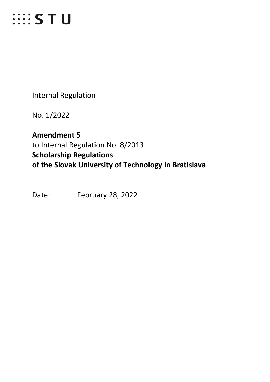

Internal Regulation

No. 1/2022

**Amendment 5** to Internal Regulation No. 8/2013 **Scholarship Regulations of the Slovak University of Technology in Bratislava**

Date: February 28, 2022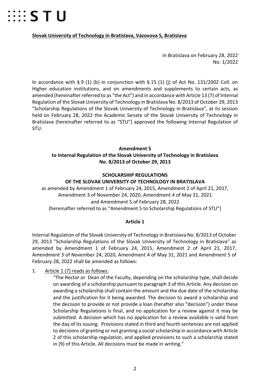

## **Slovak University of Technology in Bratislava, Vazovova 5, Bratislava**

In Bratislava on February 28, 2022 No. 1/2022

In accordance with § 9 (1) (b) in conjunction with § 15 (1) (j) of Act No. 131/2002 Coll. on Higher education institutions, and on amendments and supplements to certain acts, as amended (hereinafter referred to as "the Act") and in accordance with Article 13 (7) of Internal Regulation of the Slovak University of Technology in Bratislava No. 8/2013 of October 29, 2013 "Scholarship Regulations of the Slovak University of Technology in Bratislava", at its session held on February 28, 2022 the Academic Senate of the Slovak University of Technology in Bratislava (hereinafter referred to as "STU") approved the following Internal Regulation of STU:

# **Amendment 5 to Internal Regulation of the Slovak University of Technology in Bratislava No. 8/2013 of October 29, 2013**

#### **SCHOLARSHIP REGULATIONS OF THE SLOVAK UNIVERSITY OF TECHNOLOGY IN BRATISLAVA**

as amended by Amendment 1 of February 24, 2015, Amendment 2 of April 21, 2017, Amendment 3 of November 24, 2020, Amendment 4 of May 31, 2021 and Amendment 5 of February 28, 2022 (hereinafter referred to as "Amendment 5 to Scholarship Regulations of STU")

# **Article 1**

Internal Regulation of the Slovak University of Technology in Bratislava No. 8/2013 of October 29, 2013 "Scholarship Regulations of the Slovak University of Technology in Bratislava" as amended by Amendment 1 of February 24, 2015, Amendment 2 of April 21, 2017, Amendment 3 of November 24, 2020, Amendment 4 of May 31, 2021 and Amendment 5 of February 28, 2022 shall be amended as follows:

1. Article 1 (7) reads as follows:

"The Rector or Dean of the Faculty, depending on the scholarship type, shall decide on awarding of a scholarship pursuant to paragraph 3 of this Article. Any decision on awarding a scholarship shall contain the amount and the due date of the scholarship and the justification for it being awarded. The decision to award a scholarship and the decision to provide or not provide a loan (herafter also "decision") under these Scholarship Regulations is final, and no application for a review against it may be submitted. A decision which has no application for a review available is valid from the day of its issuing. Provisions stated in third and fourth sentences are not applied to decisions of granting or not granting a social scholarship in accordance with Article 2 of this scholarship regulation, and applied provisions to such a scholarship stated in (9) of this Article. All decisions must be made in writing."